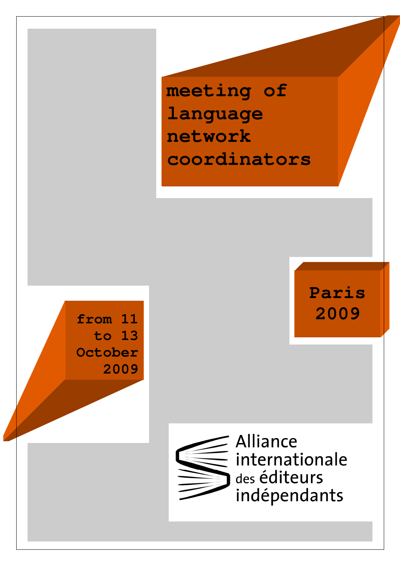**meeting of language network coordinators** 





Alliance internationale des éditeurs indépendants

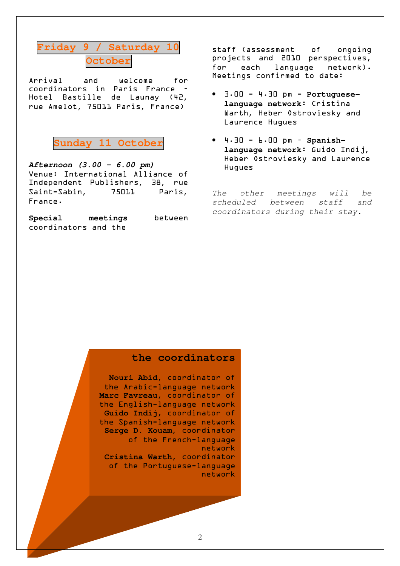### **Friday 9 / Saturday 10 Octobe**:

Arrival and welcome for coordinators in Paris France – Hotel Bastille de Launay (42**,** rue Amelot**,** 75011 Paris**,** France)



**Afternoon (3.00 - 6.00 pm)**  Venue: International Alliance of Independent Publishers**,** 38**,** rue Saint-Sabin**,** 75011 Paris**,** France.

**Special meetings** between coordinators and the

staff (assessment of ongoing projects and 2010 perspectives**,**  for each language network). Meetings confirmed to date:

- 3.00 4.30 pm **Portugueselanguage network**: Cristina Warth**,** Heber Ostroviesky and Laurence Hugues
- 4.30 6.00 pm **Spanishlanguage network**: Guido Indij**,** Heber Ostroviesky and Laurence Hugues

The other meetings will be scheduled between staff and coordinators during their stay.

### **the coordinators**

**Nouri Abid,** coordinator of the Arabic-language network **Marc Favreau,** coordinator of the English-language network **Guido Indij,** coordinator of the Spanish-language network **Serge D. Kouam,** coordinator of the French-language network **Cristina Warth,** coordinator of the Portuguese-language

network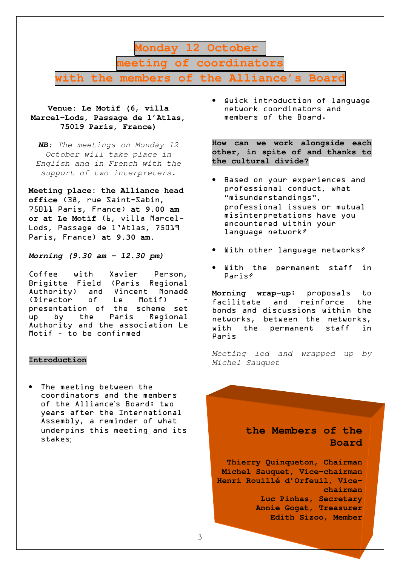**Monday 12 October meeting of coordinators with the members of the Alliance's Board**

### **Venue: Le Motif (6, villa Marcel-Lods, Passage de l'Atlas, 75019 Paris, France)**

**NB:** The meetings on Monday 12 October will take place in English and in French with the support of two interpreters.

**Meeting place: the Alliance head office** (38**,** rue Saint-Sabin**,** 75011 Paris**,** France) **at 9.00 am or at Le Motif** (6**,** villa Marcel-Lods**,** Passage de l'Atlas**,** 75019 Paris**,** France) **at 9.30 am.** 

**Morning (9.30 am – 12.30 pm)** 

Coffee with Xavier Person**,** Brigitte Field (Paris Regional Authority) and Vincent Monadé (Director of Le Motif) – presentation of the scheme set up by the Paris Regional Authority and the association Le Motif – to be confirmed

#### **Introduction**

The meeting between the coordinators and the members of the Alliance's Board: two years after the International Assembly**,** a reminder of what underpins this meeting and its stakes;

Quick introduction of language network coordinators and members of the Board.

**How can we work alongside each other, in spite of and thanks to the cultural divide?** 

- Based on your experiences and professional conduct**,** what "misunderstandings"**,** professional issues or mutual misinterpretations have you encountered within your language network?
- With other language networks?
- With the permanent staff in Paris?

**Morning wrap-up**: proposals to facilitate and reinforce the bonds and discussions within the networks**,** between the networks**,** with the permanent staff in Paris

Meeting led and wrapped up by Michel Sauquet

### **the Members of the Board**

**Thierry Quinqueton, Chairman Michel Sauquet, Vice-chairman Henri Rouillé d'Orfeuil, Vicechairman Luc Pinhas, Secretary Annie Gogat, Treasurer Edith Sizoo, Member**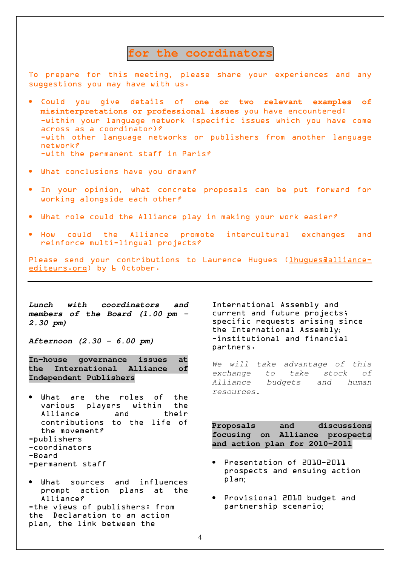### for the coordinator:

To prepare for this meeting**,** please share your experiences and any suggestions you may have with us.

- Could you give details of **one or two relevant examples of misinterpretations or professional issues** you have encountered: -within your language network (specific issues which you have come across as a coordinator)? -with other language networks or publishers from another language network? -with the permanent staff in Paris?
- What conclusions have you drawn?
- In your opinion**,** what concrete proposals can be put forward for working alongside each other?
- What role could the Alliance play in making your work easier?
- How could the Alliance promote intercultural exchanges and reinforce multi-lingual projects?

Please send your contributions to Laurence Hugues (*lhugues@alliance*editeurs.org) by L October.

**Lunch with coordinators and members of the Board (1.00 pm - 2.30 pm)** 

**Afternoon (2.30 - 6.00 pm)** 

**In-house governance issues at the International Alliance of Independent Publishers** 

- What are the roles of the various players within the Alliance and their contributions to the life of the movement? -publishers -coordinators -Board
- -permanent staff
- What sources and influences prompt action plans at the Alliance? -the views of publishers: from the Declaration to an action plan**,** the link between the

International Assembly and current and future projects; specific requests arising since the International Assembly; -institutional and financial partners.

We will take advantage of this exchange to take stock of Alliance budgets and human resources.

**Proposals and discussions focusing on Alliance prospects and action plan for 2010-2011** 

- Presentation of 2010-2011 prospects and ensuing action plan;
- Provisional 2010 budget and partnership scenario;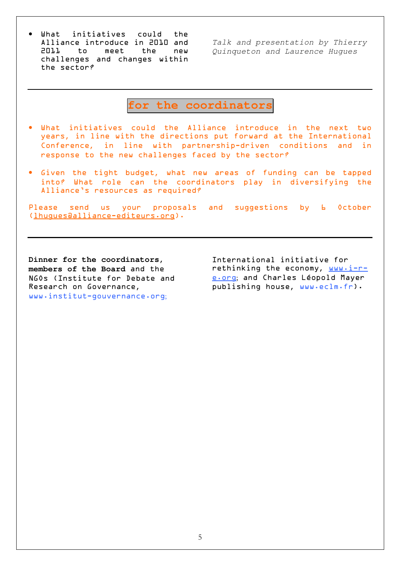• What initiatives could the Alliance introduce in 2010 and 2011 to meet the new challenges and changes within the sector?

Talk and presentation by Thierry Quinqueton and Laurence Hugues

**for the coordinators** 

- What initiatives could the Alliance introduce in the next two years**,** in line with the directions put forward at the International Conference**,** in line with partnership-driven conditions and in response to the new challenges faced by the sector?
- Given the tight budget**,** what new areas of funding can be tapped into? What role can the coordinators play in diversifying the Alliance's resources as required?

Please send us your proposals and suggestions by **6** October (lhugues@alliance-editeurs.org).

**Dinner for the coordinators, members of the Board** and the NGOs (Institute for Debate and Research on Governance**,** www.institut-gouvernance.org;

International initiative for rethinking the economy**,** www.i-re.org; and Charles Léopold Mayer publishing house**,** www.eclm.fr).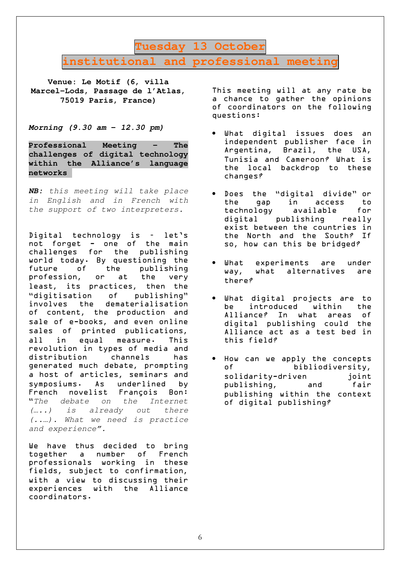### **Tuesday 13 October institutional and professional meeting**

**Venue: Le Motif (6, villa Marcel-Lods, Passage de l'Atlas, 75019 Paris, France)** 

**Morning (9.30 am - 12.30 pm)** 

**Professional Meeting – The challenges of digital technology within the Alliance's language networks**

**NB:** this meeting will take place in English and in French with the support of two interpreters.

Digital technology is – let's not forget - one of the main challenges for the publishing world today. By questioning the<br>future of the publishing future of the publishing profession**,** or at the very least**,** its practices**,** then the "digitisation of publishing" involves the dematerialisation of content**,** the production and sale of e-books**,** and even online sales of printed publications**,** all in equal measure. This revolution in types of media and distribution channels has generated much debate**,** prompting a host of articles**,** seminars and symposiums. As underlined by French novelist François Bon: "The debate on the Internet (…..) is already out there (..…). What we need is practice and experience".

We have thus decided to bring together a number of French professionals working in these fields**,** subject to confirmation**,** with a view to discussing their experiences with the Alliance coordinators.

This meeting will at any rate be a chance to gather the opinions of coordinators on the following questions:

- What digital issues does an independent publisher face in Argentina**,** Brazil**,** the USA**,** Tunisia and Cameroon? What is the local backdrop to these changes?
- Does the "digital divide" or the gap in access to technology available for digital publishing really exist between the countries in the North and the South? If so**,** how can this be bridged?
- What experiments are under way**,** what alternatives are there?
- What digital projects are to<br>be introduced within the be introduced within Alliance? In what areas of digital publishing could the Alliance act as a test bed in this field?
- How can we apply the concepts of bibliodiversity**,** solidarity-driven joint publishing**,** and fair publishing within the context of digital publishing?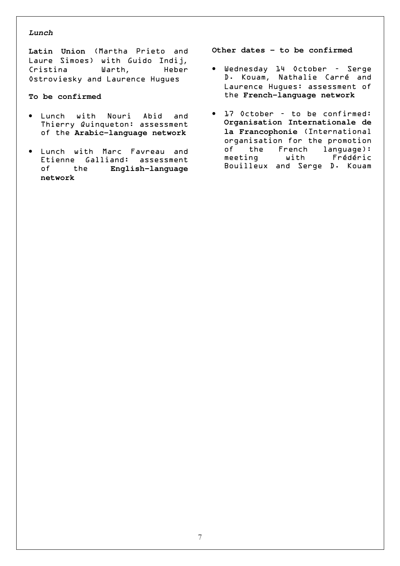### **Lunch**

**Latin Union** (Martha Prieto and Laure Simoes) with Guido Indij**,** Cristina Warth**,** Heber Ostroviesky and Laurence Hugues

### **To be confirmed**

- Lunch with Nouri Abid and Thierry Quinqueton: assessment of the **Arabic-language network**
- Lunch with Marc Favreau and Etienne Galliand: assessment of the **English-language network**

**Other dates – to be confirmed** 

- Wednesday 14 October Serge D. Kouam**,** Nathalie Carré and Laurence Hugues: assessment of the **French-language network**
- 17 October to be confirmed: **Organisation Internationale de la Francophonie** (International organisation for the promotion of the French language): meeting with Frédéric Bouilleux and Serge D. Kouam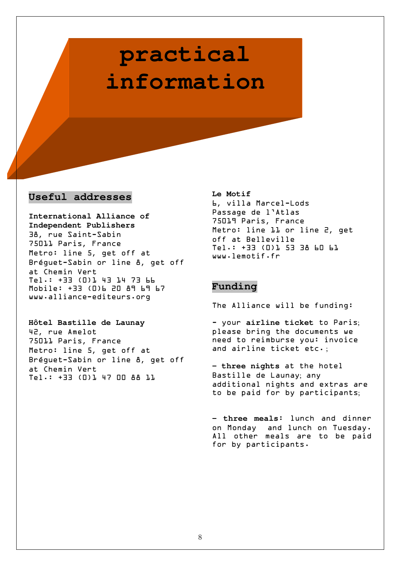## **practical information**

### **Useful addresses**

**International Alliance of Independent Publishers**  38**,** rue Saint-Sabin 75011 Paris**,** France Metro: line 5**,** get off at Bréguet-Sabin or line 8**,** get off at Chemin Vert Tel.: +33 (0)1 43 14 73 66 Mobile: +33 (0)6 20 89 69 67 www.alliance-editeurs.org

**Hôtel Bastille de Launay**  42**,** rue Amelot 75011 Paris**,** France Metro: line 5**,** get off at Bréguet-Sabin or line 8**,** get off at Chemin Vert Tel.: +33 (0)1 47 00 88 11

**Le Motif**  6**,** villa Marcel-Lods Passage de l'Atlas 75019 Paris**,** France Metro: line 11 or line 2**,** get off at Belleville Tel.: +33 (0)1 53 38 60 61 www.lemotif.fr

### **Funding**

The Alliance will be funding:

- your **airline ticket** to Paris; please bring the documents we need to reimburse you: invoice and airline ticket etc.;

**- three nights** at the hotel Bastille de Launay; any additional nights and extras are to be paid for by participants;

**- three meals**: lunch and dinner on Monday and lunch on Tuesday. All other meals are to be paid for by participants.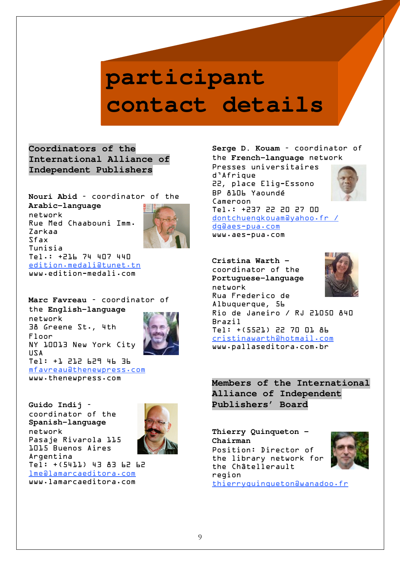# **participant contact details**

**Coordinators of the International Alliance of Independent Publishers** 

**Nouri Abid** – coordinator of the **Arabic-language** network Rue Med Chaabouni Imm. Zarkaa Sfax Tunisia Tel.: +216 74 407 440 edition.medali@tunet.tn www.edition-medali.com

**Marc Favreau** – coordinator of the **English-language** network 38 Greene St.**,** 4th Floor NY 10013 New York City USA Tel: +1 212 629 46 36 mfavreau@thenewpress.com www.thenewpress.com



**Guido Indij** – coordinator of the **Spanish-language** network Pasaje Rivarola 115 1015 Buenos Aires Argentina Tel: +(5411) 43 83 62 62 lme@lamarcaeditora.com www.lamarcaeditora.com



**Serge D. Kouam** – coordinator of the **French-language** network

Presses universitaires d'Afrique 22**,** place Elig-Essono BP 8106 Yaoundé Cameroon Tel.: +237 22 20 27 00 dontchuengkouam@yahoo.fr / dg@aes-pua.com

www.aes-pua.com

#### **Cristina Warth –**  coordinator of the



**Portuguese-language** network Rua Frederico de Albuquerque**,** 56 Rio de Janeiro / RJ 21050 840 Brazil Tel: +(5521) 22 70 01 86 cristinawarth@hotmail.com www.pallaseditora.com.br

**Members of the International Alliance of Independent Publishers' Board** 

**Thierry Quinqueton – Chairman**  Position: Director of the library network for the Châtellerault region thierryquinqueton@wanadoo.fr

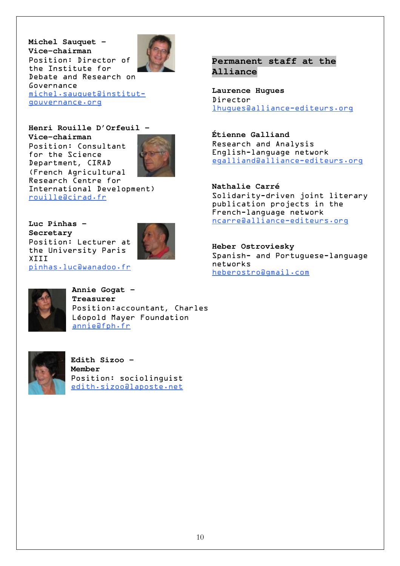**Michel Sauquet – Vice-chairman**  Position: Director of the Institute for Debate and Research on Governance michel.sauquet@institutgouvernance.org



### **Henri Rouille D'Orfeuil –**

**Vice-chairman**  Position: Consultant for the Science Department**,** CIRAD (French Agricultural Research Centre for International Development) rouille@cirad.fr



**Luc Pinhas – Secretary**  Position: Lecturer at the University Paris XIII pinhas.luc@wanadoo.fr





**Annie Gogat – Treasurer**  Position:accountant**,** Charles Léopold Mayer Foundation annie@fph.fr



**Edith Sizoo - Member**  Position: sociolinguist edith.sizoo@laposte.net

### **Permanent staff at the Alliance**

**Laurence Hugues**  Director lhugues@alliance-editeurs.org

**Étienne Galliand**  Research and Analysis English-language network egalliand@alliance-editeurs.org

**Nathalie Carré**  Solidarity-driven joint literary publication projects in the French-language network ncarre@alliance-editeurs.org

**Heber Ostroviesky**  Spanish- and Portuguese-language networks heberostro@gmail.com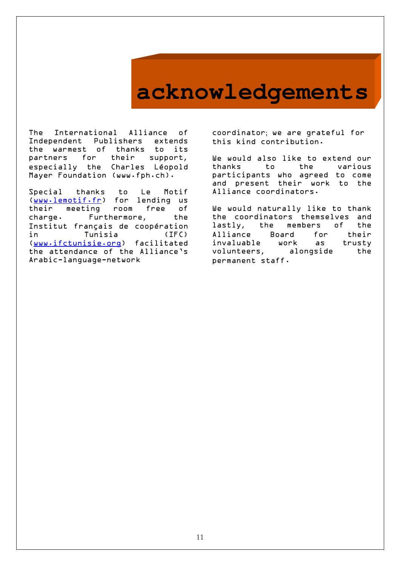## **acknowledgements**

The International Alliance of Independent Publishers extends the warmest of thanks to its partners for their support**,** especially the Charles Léopold Mayer Foundation (www.fph.ch).

Special thanks to Le Motif (www.lemotif.fr) for lending us their meeting room free of charge. Furthermore**,** the Institut français de coopération in Tunisia (IFC) (www.ifctunisie.org) facilitated the attendance of the Alliance's Arabic-language-network

coordinator; we are grateful for this kind contribution.

We would also like to extend our thanks to the various participants who agreed to come and present their work to the Alliance coordinators.

We would naturally like to thank the coordinators themselves and lastly**,** the members of the Board for their invaluable work as trusty volunteers**,** alongside the permanent staff.